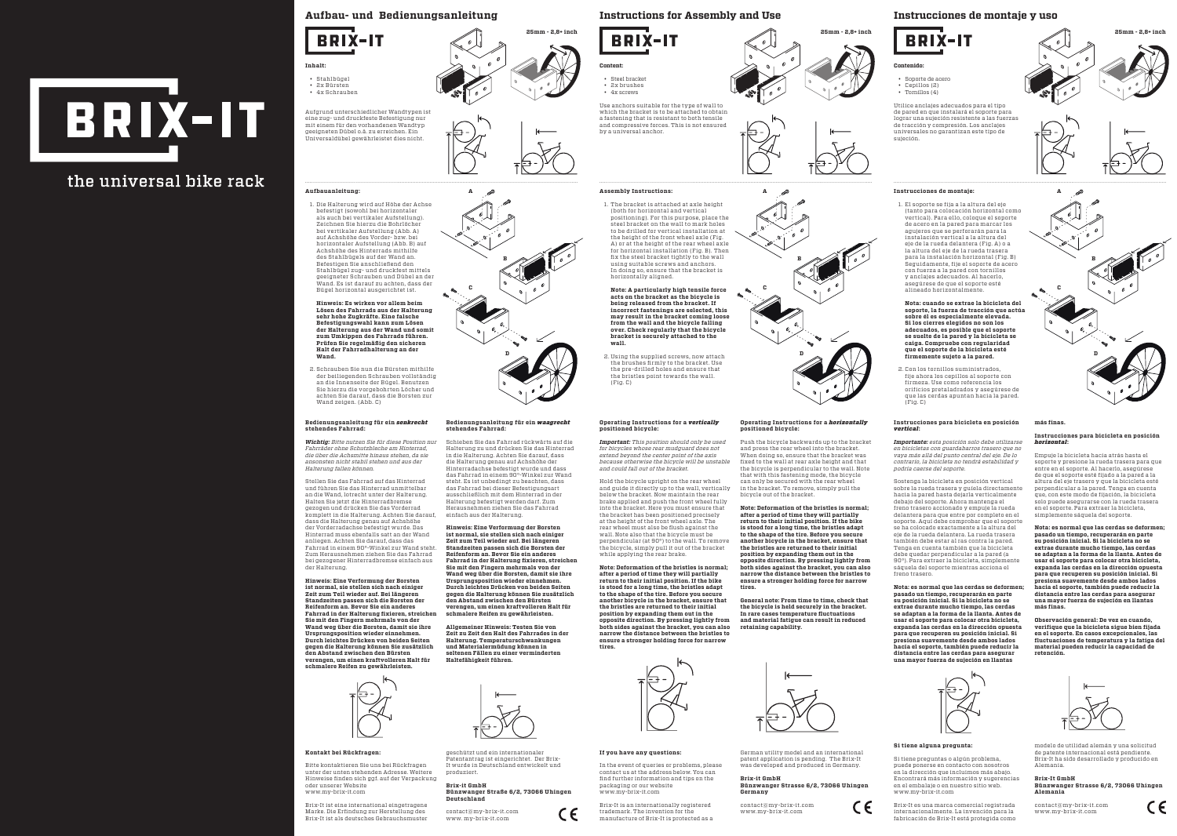# BRIX-IT

# the universal bike rack



# **25mm - 2,8+ inch 25mm - 2,8+ inch 25mm - 2,8+ inch**

#### **Kontakt bei Rückfragen:**

Bitte kontaktieren Sie uns bei Rückfragen unter der unten stehenden Adresse. Weitere Hinweise fi nden sich ggf. auf der Verpackung oder unserer Website www.my-brix-it.com

Brix-It ist eine international eingetragene Marke. Die Erfi ndung zur Herstellung des Brix-It ist als deutsches Gebrauchsmuster geschützt und ein internationaler Patentantrag ist eingerichtet. Der Brix-It wurde in Deutschland entwickelt und

produziert. **Brix-it GmbH**

**Bünzwanger Straße 6/2, 73066 Uhingen**

**Deutschland**

contact@my-brix-it.com www. my-brix-it.com

#### **If you have any questions:**

In the event of queries or problems, please contact us at the address below. You can find further information and tips on the packaging or our website www.my-brix-it.com



German utility model and an international patent application is pending. The Brix-It was developed and produced in Germany.

#### **Brix-it GmbH Bünzwanger Strasse 6/2, 73066 Uhingen Germany**

CE

contact@my-brix-it.com www.my-brix-it.com

#### **Si tiene alguna pregunta:**

Si tiene preguntas o algún problema, puede ponerse en contacto con nosotros en la dirección que incluimos más abajo. Encontrará más información y sugerencias en el embalaje o en nuestro sitio web. www.my-brix-it.com

**A A A Instrucciones de montaje: C C C Note: A particularly high tensile force D D D** 2. Using the supplied screws, now attach **B**  $\otimes$  **B**  $\otimes$  **B**  $\otimes$  **B** are all installation horizontal (Fig. B)  $\otimes$  **B** 

Brix-It es una marca comercial registrada internacionalmente. La invención para la fabricación de Brix-It está protegida como









modelo de utilidad alemán y una solicitud de patente internacional está pendiente. Brix-It ha sido desarrollado y producido en Alemania.

#### **Brix-It GmbH**

**Bünzwanger Strasse 6/2, 73066 Uhingen Alemania**

CE

contact@my-brix-it.com www.my-brix-it.com

## **Aufbau- und Bedienungsanleitung Instructions for Assembly and Use Instrucciones de montaje y uso**



#### **Inhalt:**

- Stahlbügel • 2x Bürsten
- 4x Schrauben



Aufgrund unterschiedlicher Wandtypen ist eine zug- und druckfeste Befestigung nur mit einem für den vorhandenen Wandtyp geeigneten Dübel o.ä. zu erreichen. Ein Universaldübel gewährleistet dies nicht.

**Content:**

• Steel bracket • 2x brushes • 4x screws





Use anchors suitable for the type of wall to which the bracket is to be attached to obtain a fastening that is resistant to both tensile and compressive forces. This is not ensured by a universal anchor.

the brushes firmly to the bracket. Use the pre-drilled holes and ensure that the bristles point towards the wall. (Fig. C)

**Contenido:**

- Soporte de acero
- Cepillos (2) • Tornillos (4)
- 

Utilice anclajes adecuados para el tipo de pared en que instalará el soporte para lograr una sujeción resistente a las fuerzas de tracción y compresión. Los anclajes universales no garantizan este tipo de sujeción.

#### **Aufbauanleitung:**

1. Die Halterung wird auf Höhe der Achse befestigt (sowohl bei horizontaler als auch bei vertikaler Aufstellung). Zeichnen Sie hierzu die Bohrlöcher bei vertikaler Aufstellung (Abb. A) auf Achshöhe des Vorder- bzw. bei horizontaler Aufstellung (Abb. B) auf Achshöhe des Hinterrads mithilfe des Stahlbügels auf der Wand an. Befestigen Sie anschließend den Stahlbügel zug- und druckfest mittels geeigneter Schrauben und Dübel an der Wand. Es ist darauf zu achten, dass der Bügel horizontal ausgerichtet ist.

**Hinweis: Es wirken vor allem beim Lösen des Fahrrads aus der Halterung sehr hohe Zugkräfte. Eine falsche Befestigungswahl kann zum Lösen der Halterung aus der Wand und somit zum Umkippen des Fahrrads führen. Prüfen Sie regelmäßig den sicheren Halt der Fahrradhalterung an der Wand.**

2. Schrauben Sie nun die Bürsten mithilfe der beiliegenden Schrauben vollständig an die Innenseite der Bügel. Benutzen Sie hierzu die vorgebohrten Löcher und achten Sie darauf, dass die Borsten zur Wand zeigen. (Abb. C)

#### **Assembly Instructions:**

1. The bracket is attached at axle height (both for horizontal and vertical positioning). For this purpose, place the steel bracket on the wall to mark holes to be drilled for vertical installation at the height of the front wheel axle (Fig. A) or at the height of the rear wheel axle for horizontal installation (Fig. B). Then using suitable screws and anchors. In doing so, ensure that the bracket is horizontally aligned.

**acts on the bracket as the bicycle is being released from the bracket. If incorrect fastenings are selected, this may result in the bracket coming loose from the wall and the bicycle falling over. Check regularly that the bicycle bracket is securely attached to the wall.**

1. El soporte se fija a la altura del eje (tanto para colocación horizontal como vertical). Para ello, coloque el soporte de acero en la pared para marcar los agujeros que se perforarán para la instalación vertical a la altura del eje de la rueda delantera (Fig. A) o a la altura del eje de la rueda trasera para la instalación horizontal (Fig. B) Seguidamente, fije el soporte de acero con fuerza a la pared con tornillos y anclajes adecuados. Al hacerlo, asegúrese de que el soporte esté alineado horizontalmente.

**Nota: cuando se extrae la bicicleta del soporte, la fuerza de tracción que actúa sobre él es especialmente elevada. Si los cierres elegidos no son los adecuados, es posible que el soporte se suelte de la pared y la bicicleta se caiga. Compruebe con regularidad que el soporte de la bicicleta esté firmemente sujeto a la pared.**

2. Con los tornillos suministrados, fije ahora los cepillos al soporte con firmeza. Use como referencia los orificios pretaladrados y asegúrese de que las cerdas apuntan hacia la pared. (Fig. C)

#### **Bedienungsanleitung für ein** *senkrecht* **stehendes Fahrrad:**

*Wichtig: Bitte nutzen Sie für diese Position nur Fahrräder ohne Schutzbleche am Hinterrad, die über die Achsmitte hinaus stehen, da sie ansonsten nicht stabil stehen und aus der Halterung fallen können.* 

Stellen Sie das Fahrrad auf das Hinterrad und führen Sie das Hinterrad unmittelbar an die Wand, lotrecht unter der Halterung. Halten Sie jetzt die Hinterradbremse gezogen und drücken Sie das Vorderrad komplett in die Halterung. Achten Sie darauf, dass die Halterung genau auf Achshöhe der Vorderradachse befestigt wurde. Das Hinterrad muss ebenfalls satt an der Wand anliegen. Achten Sie darauf, dass das Fahrrad in einem 90°-Winkel zur Wand steht. Zum Herausnehmen ziehen Sie das Fahrrad bei gezogener Hinterradbremse einfach aus der Halterung.

**Hinweis: Eine Verformung der Borsten ist normal, sie stellen sich nach einiger Zeit zum Teil wieder auf. Bei längeren Standzeiten passen sich die Borsten der Reifenform an. Bevor Sie ein anderes Fahrrad in der Halterung fi xieren, streichen Sie mit den Fingern mehrmals von der Wand weg über die Borsten, damit sie ihre Ursprungsposition wieder einnehmen. Durch leichtes Drücken von beiden Seiten gegen die Halterung können Sie zusätzlich den Abstand zwischen den Bürsten verengen, um einen kraftvolleren Halt für schmalere Reifen zu gewährleisten.**



**Bedienungsanleitung für ein** *waagrecht*

**stehendes Fahrrad:**

Schieben Sie das Fahrrad rückwärts auf die Halterung zu und drücken Sie das Hinterrad in die Halterung. Achten Sie darauf, dass die Halterung genau auf Achshöhe der Hinterradachse befestigt wurde und dass das Fahrrad in einem 90°-Winkel zur Wand steht. Es ist unbedingt zu beachten, dass das Fahrrad bei dieser Befestigungsart ausschließlich mit dem Hinterrad in der Halterung befestigt werden darf. Zum Herausnehmen ziehen Sie das Fahrrad

einfach aus der Halterung.

**Hinweis: Eine Verformung der Borsten ist normal, sie stellen sich nach einiger Zeit zum Teil wieder auf. Bei längeren Standzeiten passen sich die Borsten der Reifenform an. Bevor Sie ein anderes Fahrrad in der Halterung fi xieren, streichen Sie mit den Fingern mehrmals von der Wand weg über die Borsten, damit sie ihre Ursprungsposition wieder einnehmen. Durch leichtes Drücken von beiden Seiten gegen die Halterung können Sie zusätzlich den Abstand zwischen den Bürsten verengen, um einen kraftvolleren Halt für schmalere Reifen zu gewährleisten. Allgemeiner Hinweis: Testen Sie von Zeit zu Zeit den Halt des Fahrrades in der Halterung. Temperaturschwankungen und Materialermüdung können in seltenen Fällen zu einer verminderten** 

**Haltefähigkeit führen.**

#### **Operating Instructions for a** *vertically* **positioned bicycle:**

*Important: This position should only be used for bicycles whose rear mudguard does not extend beyond the center point of the axis because otherwise the bicycle will be unstable and could fall out of the bracket.* 

Hold the bicycle upright on the rear wheel and guide it directly up to the wall, vertically below the bracket. Now maintain the rear brake applied and push the front wheel fully into the bracket. Here you must ensure that the bracket has been positioned precisely at the height of the front wheel axle. The rear wheel must also be flush against the wall. Note also that the bicycle must be perpendicular (at 90°) to the wall. To remove the bicycle, simply pull it out of the bracket while applying the rear brake.

**Note: Deformation of the bristles is normal; after a period of time they will partially return to their initial position. If the bike is stood for a long time, the bristles adapt to the shape of the tire. Before you secure another bicycle in the bracket, ensure that the bristles are returned to their initial position by expanding them out in the opposite direction. By pressing lightly from both sides against the bracket, you can also narrow the distance between the bristles to ensure a stronger holding force for narrow tires.**



#### **Operating Instructions for a** *horizontally* **positioned bicycle:** Push the bicycle backwards up to the bracket

and press the rear wheel into the bracket. When doing so, ensure that the bracket was fi xed to the wall at rear axle height and that the bicycle is perpendicular to the wall. Note that with this fastening mode, the bicycle can only be secured with the rear wheel in the bracket. To remove, simply pull the bicycle out of the bracket.

**Note: Deformation of the bristles is normal; after a period of time they will partially return to their initial position. If the bike is stood for a long time, the bristles adapt to the shape of the tire. Before you secure another bicycle in the bracket, ensure that the bristles are returned to their initial position by expanding them out in the opposite direction. By pressing lightly from both sides against the bracket, you can also narrow the distance between the bristles to ensure a stronger holding force for narrow tires.**

**General note: From time to time, check that the bicycle is held securely in the bracket. In rare cases temperature fl uctuations and material fatigue can result in reduced retaining capability.**



#### **Instrucciones para bicicleta en posición**  *vertical***:**

*Importante: esta posición solo debe utilizarse en bicicletas con guardabarros trasero que no vaya más allá del punto central del eje. De lo contrario, la bicicleta no tendrá estabilidad y podría caerse del soporte.* 

Sostenga la bicicleta en posición vertical sobre la rueda trasera y guíela directamente hacia la pared hasta dejarla verticalmente debajo del soporte. Ahora mantenga el freno trasero accionado y empuje la rueda delantera para que entre por completo en el soporte. Aquí debe comprobar que el soporte se ha colocado exactamente a la altura del eje de la rueda delantera. La rueda trasera también debe estar al ras contra la pared. Tenga en cuenta también que la bicicleta debe quedar perpendicular a la pared (a 90°). Para extraer la bicicleta, simplemente sáquela del soporte mientras acciona el freno trasero.

**Nota: es normal que las cerdas se deformen; pasado un tiempo, recuperarán en parte su posición inicial. Si la bicicleta no se extrae durante mucho tiempo, las cerdas se adaptan a la forma de la llanta. Antes de usar el soporte para colocar otra bicicleta, expanda las cerdas en la dirección opuesta para que recuperen su posición inicial. Si presiona suavemente desde ambos lados hacia el soporte, también puede reducir la distancia entre las cerdas para asegurar una mayor fuerza de sujeción en llantas** 



#### **más finas.**

**Instrucciones para bicicleta en posición**  *horizontal***:**

Empuje la bicicleta hacia atrás hasta el soporte y presione la rueda trasera para que entre en el soporte. Al hacerlo, asegúrese de que el soporte esté fijado a la pared a la altura del eje trasero y que la bicicleta esté perpendicular a la pared. Tenga en cuenta que, con este modo de fijación, la bicicleta solo puede asegurarse con la rueda trasera en el soporte. Para extraer la bicicleta, simplemente sáquela del soporte.

**Nota: es normal que las cerdas se deformen; pasado un tiempo, recuperarán en parte su posición inicial. Si la bicicleta no se extrae durante mucho tiempo, las cerdas se adaptan a la forma de la llanta. Antes de usar el soporte para colocar otra bicicleta, expanda las cerdas en la dirección opuesta para que recuperen su posición inicial. Si presiona suavemente desde ambos lados hacia el soporte, también puede reducir la distancia entre las cerdas para asegurar una mayor fuerza de sujeción en llantas más finas.**

**Observación general: De vez en cuando, verifique que la bicicleta sigue bien fijada en el soporte. En casos excepcionales, las fluctuaciones de temperatura y la fatiga del material pueden reducir la capacidad de retención.**